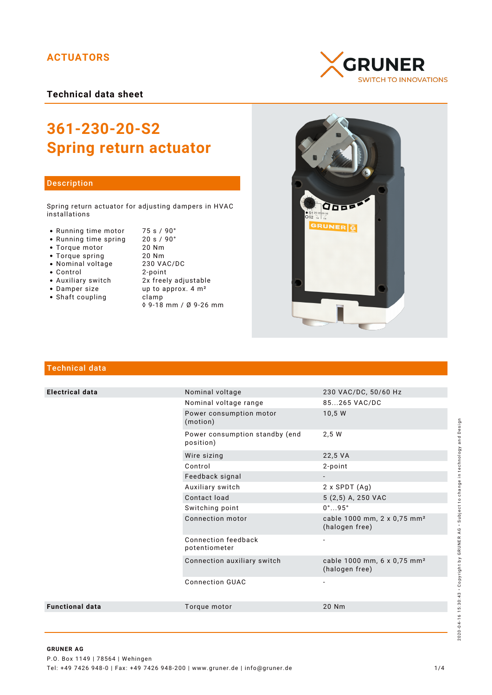## **ACTUATORS**

**Technical data sheet**

# **361-230-20-S2 Spring return actuator**

### Description

Spring return actuator for adjusting dampers in HVAC installations

- Running time motor 75 s / 90°<br>• Running time spring 20 s / 90°
- Running time spring
- Torque motor 20 Nm
- 
- Nominal voltage
- 
- Control 2-point
- 
- Shaft coupling becamp
- Torque spring 20 Nm • Auxiliary switch 2x freely adjustable<br>• Damper size up to approx. 4 m<sup>2</sup> up to approx.  $4 \text{ m}^2$ 
	- ◊ 9-18 mm / Ø 9-26 mm





## Technical data

| <b>Electrical data</b> | Nominal voltage                             | 230 VAC/DC, 50/60 Hz                                      |
|------------------------|---------------------------------------------|-----------------------------------------------------------|
|                        | Nominal voltage range                       | 85265 VAC/DC                                              |
|                        | Power consumption motor<br>(motion)         | 10,5 W                                                    |
|                        | Power consumption standby (end<br>position) | 2.5W                                                      |
|                        | Wire sizing                                 | 22,5 VA                                                   |
|                        | Control                                     | 2-point                                                   |
|                        | Feedback signal                             |                                                           |
|                        | Auxiliary switch                            | $2 \times$ SPDT $(Aq)$                                    |
|                        | Contact load                                | 5 (2,5) A, 250 VAC                                        |
|                        | Switching point                             | $0^{\circ}$ 95 $^{\circ}$                                 |
|                        | Connection motor                            | cable 1000 mm, 2 x 0,75 mm <sup>2</sup><br>(halogen free) |
|                        | Connection feedback<br>potentiometer        |                                                           |
|                        | Connection auxiliary switch                 | cable 1000 mm, 6 x 0,75 mm <sup>2</sup><br>(halogen free) |
|                        | <b>Connection GUAC</b>                      |                                                           |
| <b>Functional data</b> | Torque motor                                | 20 Nm                                                     |
|                        |                                             |                                                           |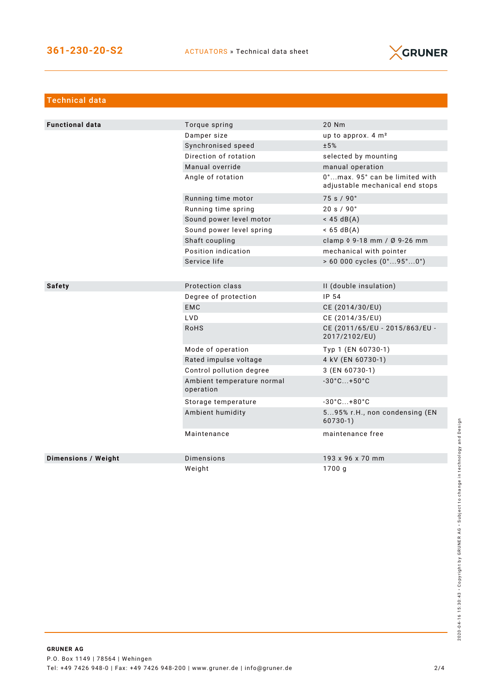

| Technical data             |                                         |                                                                   |
|----------------------------|-----------------------------------------|-------------------------------------------------------------------|
|                            |                                         |                                                                   |
| <b>Functional data</b>     | Torque spring                           | 20 Nm                                                             |
|                            | Damper size                             | up to approx. 4 m <sup>2</sup>                                    |
|                            | Synchronised speed                      | ±5%                                                               |
|                            | Direction of rotation                   | selected by mounting                                              |
|                            | Manual override                         | manual operation                                                  |
|                            | Angle of rotation                       | 0°max. 95° can be limited with<br>adjustable mechanical end stops |
|                            | Running time motor                      | 75 s / 90°                                                        |
|                            | Running time spring                     | 20 s / 90°                                                        |
|                            | Sound power level motor                 | $<$ 45 dB(A)                                                      |
|                            | Sound power level spring                | $< 65 \text{ dB(A)}$                                              |
|                            | Shaft coupling                          | clamp 0 9-18 mm / Ø 9-26 mm                                       |
|                            | Position indication                     | mechanical with pointer                                           |
|                            | Service life                            | $> 60000$ cycles $(0^{\circ}95^{\circ}0^{\circ})$                 |
|                            |                                         |                                                                   |
| <b>Safety</b>              | Protection class                        | II (double insulation)                                            |
|                            | Degree of protection                    | IP 54                                                             |
|                            | <b>EMC</b>                              | CE (2014/30/EU)                                                   |
|                            | <b>LVD</b>                              | CE (2014/35/EU)                                                   |
|                            | <b>RoHS</b>                             | CE (2011/65/EU - 2015/863/EU -<br>2017/2102/EU)                   |
|                            | Mode of operation                       | Typ 1 (EN 60730-1)                                                |
|                            | Rated impulse voltage                   | 4 kV (EN 60730-1)                                                 |
|                            | Control pollution degree                | 3 (EN 60730-1)                                                    |
|                            | Ambient temperature normal<br>operation | $-30^{\circ}$ C +50 $^{\circ}$ C                                  |
|                            | Storage temperature                     | $-30^{\circ}$ C +80 $^{\circ}$ C                                  |
|                            | Ambient humidity                        | 595% r.H., non condensing (EN<br>$60730-1)$                       |
|                            | Maintenance                             | maintenance free                                                  |
| <b>Dimensions / Weight</b> | Dimensions                              | 193 x 96 x 70 mm                                                  |
|                            | Weight                                  | 1700q                                                             |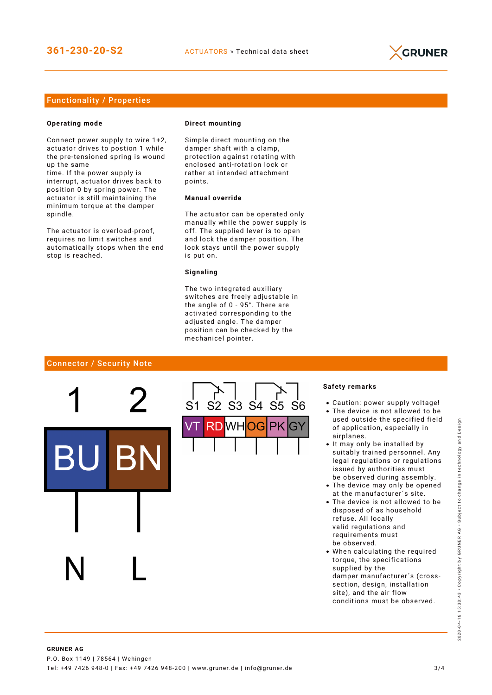

## Functionality / Properties

#### **Operating mode**

Connect power supply to wire 1+2, actuator drives to postion 1 while the pre-tensioned spring is wound up the same

time. If the power supply is interrupt, actuator drives back to position 0 by spring power. The actuator is still maintaining the minimum torque at the damper spindle.

The actuator is overload-proof, requires no limit switches and automatically stops when the end stop is reached.

#### **Direct mounting**

Simple direct mounting on the damper shaft with a clamp, protection against rotating with enclosed anti-rotation lock or rather at intended attachment points.

## **Manual override**

The actuator can be operated only manually while the power supply is off. The supplied lever is to open and lock the damper position. The lock stays until the power supply is put on.

#### **Signaling**

The two integrated auxiliary switches are freely adjustable in the angle of 0 - 95°. There are activated corresponding to the adjusted angle. The damper position can be checked by the mechanicel pointer.

#### Connector / Security Note



#### **Safety remarks**

- Caution: power supply voltage!
- The device is not allowed to be used outside the specified field of application, especially in airplanes.
- It may only be installed by suitably trained personnel. Any legal regulations or regulations issued by authorities must be observed during assembly.
- The device may only be opened at the manufacturer´s site.
- The device is not allowed to be disposed of as household refuse. All locally valid regulations and requirements must be observed.
- When calculating the required torque, the specifications supplied by the damper manufacturer´s (crosssection, design, installation site), and the air flow conditions must be observed.

2020-04-16 15:30:43 • Copyright by GRUNER AG • Subject to change in technology and Design

2020-

04-16 15:30:43 · Copyright by GRUNER AG · Subject to change in technology and Design